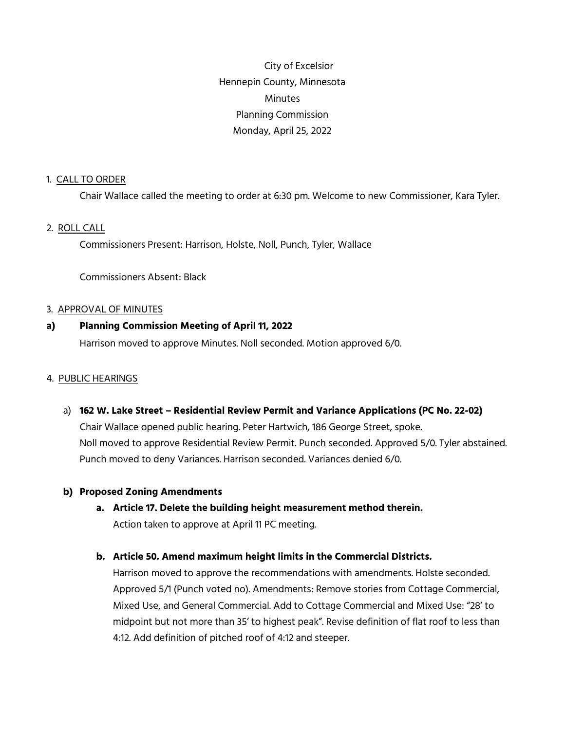City of Excelsior Hennepin County, Minnesota **Minutes** Planning Commission Monday, April 25, 2022

## 1. CALL TO ORDER

Chair Wallace called the meeting to order at 6:30 pm. Welcome to new Commissioner, Kara Tyler.

## 2. ROLL CALL

Commissioners Present: Harrison, Holste, Noll, Punch, Tyler, Wallace

Commissioners Absent: Black

#### 3. APPROVAL OF MINUTES

### **a) Planning Commission Meeting of April 11, 2022**

Harrison moved to approve Minutes. Noll seconded. Motion approved 6/0.

### 4. PUBLIC HEARINGS

a) **162 W. Lake Street – Residential Review Permit and Variance Applications (PC No. 22-02)** Chair Wallace opened public hearing. Peter Hartwich, 186 George Street, spoke. Noll moved to approve Residential Review Permit. Punch seconded. Approved 5/0. Tyler abstained. Punch moved to deny Variances. Harrison seconded. Variances denied 6/0.

### **b) Proposed Zoning Amendments**

**a. Article 17. Delete the building height measurement method therein.** Action taken to approve at April 11 PC meeting.

## **b. Article 50. Amend maximum height limits in the Commercial Districts.**

Harrison moved to approve the recommendations with amendments. Holste seconded. Approved 5/1 (Punch voted no). Amendments: Remove stories from Cottage Commercial, Mixed Use, and General Commercial. Add to Cottage Commercial and Mixed Use: "28' to midpoint but not more than 35' to highest peak". Revise definition of flat roof to less than 4:12. Add definition of pitched roof of 4:12 and steeper.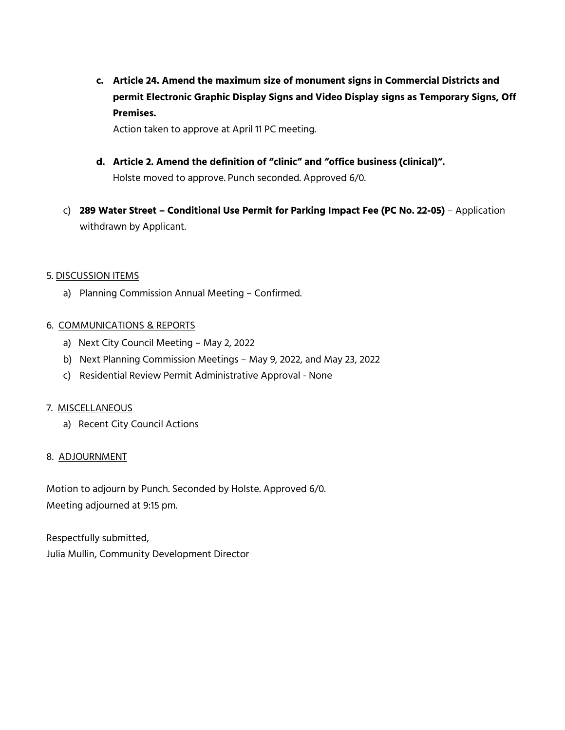**c. Article 24. Amend the maximum size of monument signs in Commercial Districts and permit Electronic Graphic Display Signs and Video Display signs as Temporary Signs, Off Premises.** 

Action taken to approve at April 11 PC meeting.

- **d. Article 2. Amend the definition of "clinic" and "office business (clinical)".** Holste moved to approve. Punch seconded. Approved 6/0.
- c) **289 Water Street Conditional Use Permit for Parking Impact Fee (PC No. 22-05)** Application withdrawn by Applicant.

## 5. DISCUSSION ITEMS

a) Planning Commission Annual Meeting – Confirmed.

## 6. COMMUNICATIONS & REPORTS

- a) Next City Council Meeting May 2, 2022
- b) Next Planning Commission Meetings May 9, 2022, and May 23, 2022
- c) Residential Review Permit Administrative Approval None

### 7. MISCELLANEOUS

a) Recent City Council Actions

### 8. ADJOURNMENT

Motion to adjourn by Punch. Seconded by Holste. Approved 6/0. Meeting adjourned at 9:15 pm.

Respectfully submitted, Julia Mullin, Community Development Director